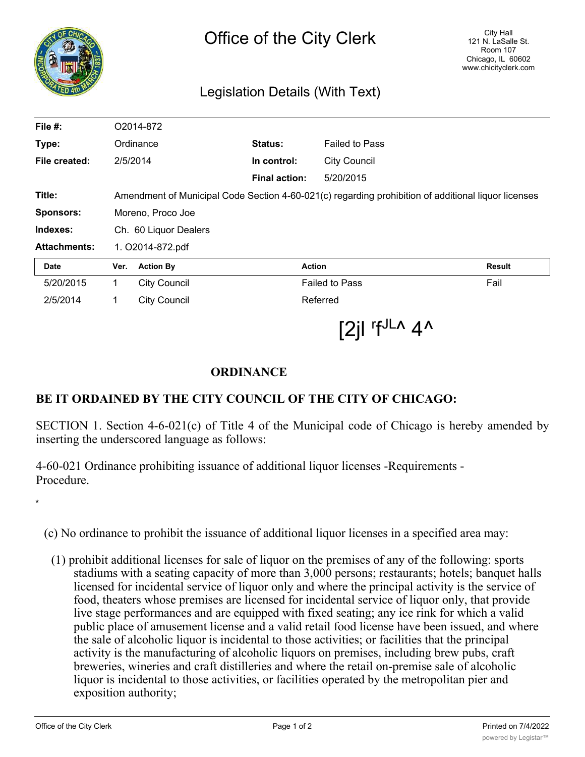| ∣ह<br>ठ             | <b>City Hall</b><br>Office of the City Clerk<br>121 N. LaSalle St.<br><b>Room 107</b><br>Chicago, IL 60602<br>www.chicityclerk.com<br>Legislation Details (With Text) |                      |                       |               |
|---------------------|-----------------------------------------------------------------------------------------------------------------------------------------------------------------------|----------------------|-----------------------|---------------|
| File $#$ :          | O2014-872                                                                                                                                                             |                      |                       |               |
| Type:               | Ordinance                                                                                                                                                             | <b>Status:</b>       | <b>Failed to Pass</b> |               |
| File created:       | 2/5/2014                                                                                                                                                              | In control:          | <b>City Council</b>   |               |
|                     |                                                                                                                                                                       | <b>Final action:</b> | 5/20/2015             |               |
| Title:              | Amendment of Municipal Code Section 4-60-021(c) regarding prohibition of additional liquor licenses                                                                   |                      |                       |               |
| <b>Sponsors:</b>    | Moreno, Proco Joe                                                                                                                                                     |                      |                       |               |
| Indexes:            | Ch. 60 Liquor Dealers                                                                                                                                                 |                      |                       |               |
| <b>Attachments:</b> | 1. O2014-872.pdf                                                                                                                                                      |                      |                       |               |
| <b>Date</b>         | <b>Action By</b><br><b>Action</b><br>Ver.                                                                                                                             |                      |                       | <b>Result</b> |
| 5/20/2015           | 1<br><b>City Council</b>                                                                                                                                              |                      | <b>Failed to Pass</b> |               |

 $[2]$ l 'f<sup>JL^</sup> 4^

## **ORDINANCE**

2/5/2014 1 City Council Referred

## **BE IT ORDAINED BY THE CITY COUNCIL OF THE CITY OF CHICAGO:**

SECTION 1. Section 4-6-021(c) of Title 4 of the Municipal code of Chicago is hereby amended by inserting the underscored language as follows:

4-60-021 Ordinance prohibiting issuance of additional liquor licenses -Requirements - Procedure.

(c) No ordinance to prohibit the issuance of additional liquor licenses in a specified area may:

(1) prohibit additional licenses for sale of liquor on the premises of any of the following: sports stadiums with a seating capacity of more than 3,000 persons; restaurants; hotels; banquet halls licensed for incidental service of liquor only and where the principal activity is the service of food, theaters whose premises are licensed for incidental service of liquor only, that provide live stage performances and are equipped with fixed seating; any ice rink for which a valid public place of amusement license and a valid retail food license have been issued, and where the sale of alcoholic liquor is incidental to those activities; or facilities that the principal activity is the manufacturing of alcoholic liquors on premises, including brew pubs, craft breweries, wineries and craft distilleries and where the retail on-premise sale of alcoholic liquor is incidental to those activities, or facilities operated by the metropolitan pier and exposition authority;

\*